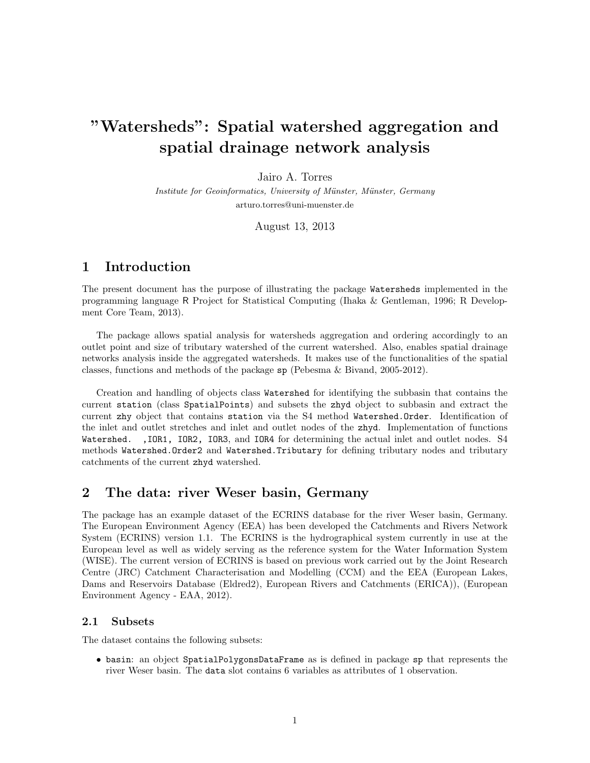# "Watersheds": Spatial watershed aggregation and spatial drainage network analysis

Jairo A. Torres

Institute for Geoinformatics, University of Münster, Münster, Germany arturo.torres@uni-muenster.de

August 13, 2013

# 1 Introduction

The present document has the purpose of illustrating the package Watersheds implemented in the programming language R Project for Statistical Computing (Ihaka & Gentleman, 1996; R Development Core Team, 2013).

The package allows spatial analysis for watersheds aggregation and ordering accordingly to an outlet point and size of tributary watershed of the current watershed. Also, enables spatial drainage networks analysis inside the aggregated watersheds. It makes use of the functionalities of the spatial classes, functions and methods of the package sp (Pebesma & Bivand, 2005-2012).

Creation and handling of objects class Watershed for identifying the subbasin that contains the current station (class SpatialPoints) and subsets the zhyd object to subbasin and extract the current zhy object that contains station via the S4 method Watershed.Order. Identification of the inlet and outlet stretches and inlet and outlet nodes of the zhyd. Implementation of functions Watershed. ,IOR1, IOR2, IOR3, and IOR4 for determining the actual inlet and outlet nodes. S4 methods Watershed.Order2 and Watershed.Tributary for defining tributary nodes and tributary catchments of the current zhyd watershed.

# 2 The data: river Weser basin, Germany

The package has an example dataset of the ECRINS database for the river Weser basin, Germany. The European Environment Agency (EEA) has been developed the Catchments and Rivers Network System (ECRINS) version 1.1. The ECRINS is the hydrographical system currently in use at the European level as well as widely serving as the reference system for the Water Information System (WISE). The current version of ECRINS is based on previous work carried out by the Joint Research Centre (JRC) Catchment Characterisation and Modelling (CCM) and the EEA (European Lakes, Dams and Reservoirs Database (Eldred2), European Rivers and Catchments (ERICA)), (European Environment Agency - EAA, 2012).

#### 2.1 Subsets

The dataset contains the following subsets:

• basin: an object SpatialPolygonsDataFrame as is defined in package sp that represents the river Weser basin. The data slot contains 6 variables as attributes of 1 observation.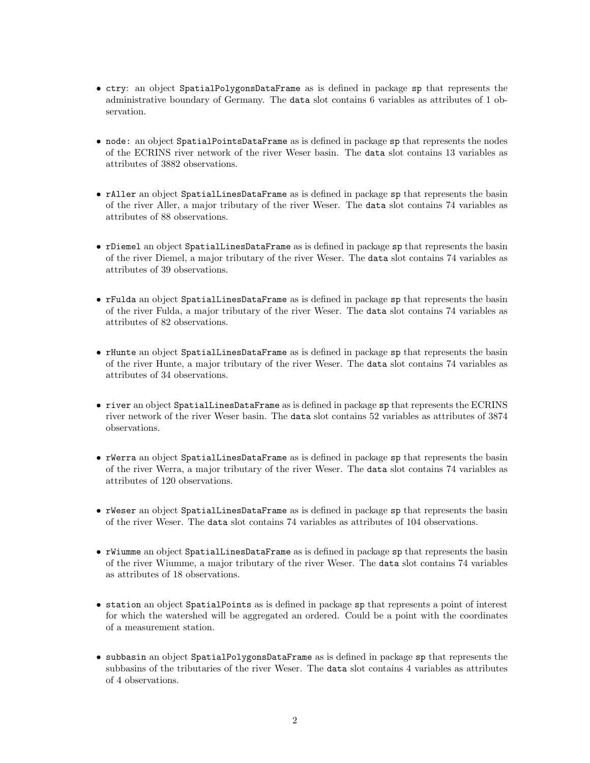- ctry: an object SpatialPolygonsDataFrame as is defined in package sp that represents the administrative boundary of Germany. The data slot contains 6 variables as attributes of 1 observation.
- node: an object SpatialPointsDataFrame as is defined in package sp that represents the nodes of the ECRINS river network of the river Weser basin. The data slot contains 13 variables as attributes of 3882 observations.
- rAller an object SpatialLinesDataFrame as is defined in package sp that represents the basin of the river Aller, a major tributary of the river Weser. The data slot contains 74 variables as attributes of 88 observations.
- rDiemel an object SpatialLinesDataFrame as is defined in package sp that represents the basin of the river Diemel, a major tributary of the river Weser. The data slot contains 74 variables as attributes of 39 observations.
- rFulda an object SpatialLinesDataFrame as is defined in package sp that represents the basin of the river Fulda, a major tributary of the river Weser. The data slot contains 74 variables as attributes of 82 observations.
- rHunte an object SpatialLinesDataFrame as is defined in package sp that represents the basin of the river Hunte, a major tributary of the river Weser. The data slot contains 74 variables as attributes of 34 observations.
- river an object SpatialLinesDataFrame as is defined in package sp that represents the ECRINS river network of the river Weser basin. The data slot contains 52 variables as attributes of 3874 observations.
- rWerra an object SpatialLinesDataFrame as is defined in package sp that represents the basin of the river Werra, a major tributary of the river Weser. The data slot contains 74 variables as attributes of 120 observations.
- rWeser an object SpatialLinesDataFrame as is defined in package sp that represents the basin of the river Weser. The data slot contains 74 variables as attributes of 104 observations.
- rWiumme an object SpatialLinesDataFrame as is defined in package sp that represents the basin of the river Wiumme, a major tributary of the river Weser. The data slot contains 74 variables as attributes of 18 observations.
- station an object SpatialPoints as is defined in package sp that represents a point of interest for which the watershed will be aggregated an ordered. Could be a point with the coordinates of a measurement station.
- subbasin an object SpatialPolygonsDataFrame as is defined in package sp that represents the subbasins of the tributaries of the river Weser. The data slot contains 4 variables as attributes of 4 observations.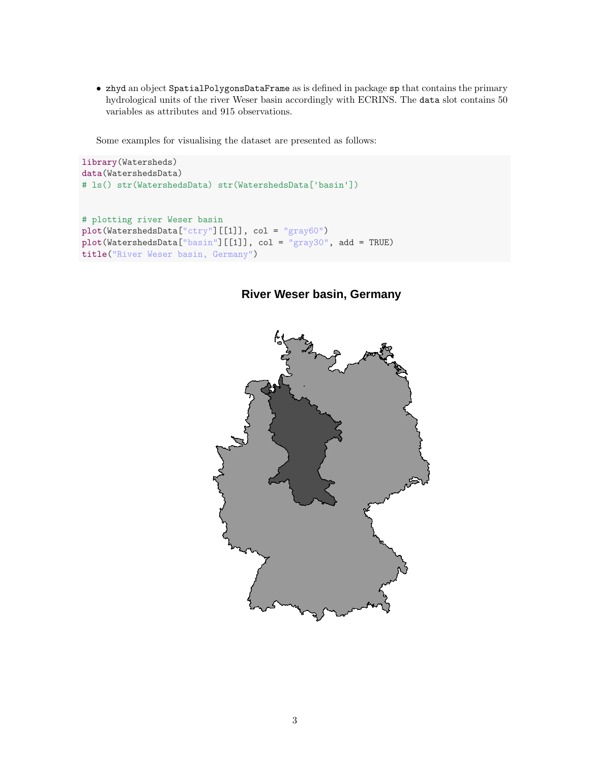• zhyd an object SpatialPolygonsDataFrame as is defined in package sp that contains the primary hydrological units of the river Weser basin accordingly with ECRINS. The data slot contains 50 variables as attributes and 915 observations.

Some examples for visualising the dataset are presented as follows:

```
library(Watersheds)
data(WatershedsData)
# ls() str(WatershedsData) str(WatershedsData['basin'])
```

```
# plotting river Weser basin
plot(WatershedsData["ctry"][[1]], col = "gray60")
plot(WatershedsData["basin"][[1]], col = "gray30", add = TRUE)
title("River Weser basin, Germany")
```
# **River Weser basin, Germany**

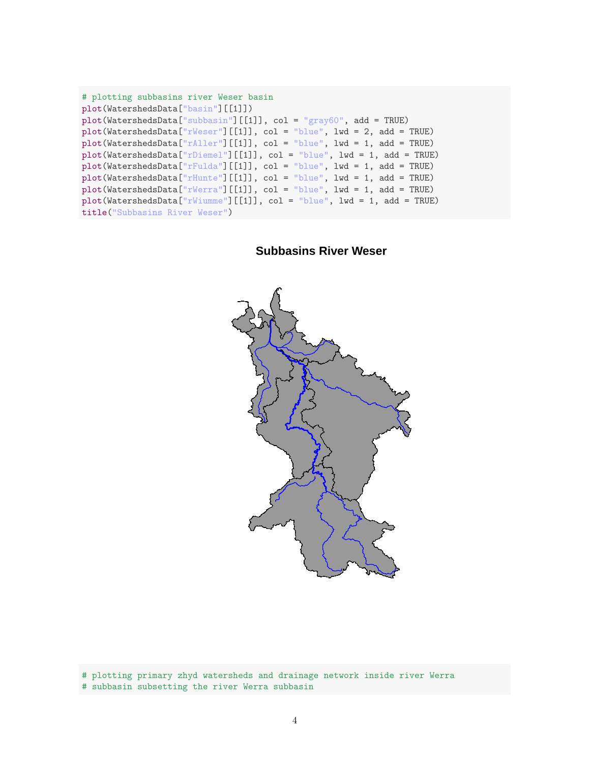| # plotting subbasins river Weser basin                                      |
|-----------------------------------------------------------------------------|
| plot(WatershedsData["basin"][[1]])                                          |
| $plot(WatershedsData["subbasin"] [[1]], col = "gray60", add = TRUE)$        |
| $plot(WatershedsData["rWeser"]$ [[1]], $col = "blue", 1wd = 2, add = TRUE)$ |
| $plot(WatershedsData["rAllen"] [[1]], col = "blue", lw = 1, add = TRUE)$    |
| $plot(WatershedsData["rDieme1"] [[1]], col = "blue", lw = 1, add = TRUE)$   |
| $plot(WatershedsData["rFulda"] [[1]], col = "blue", lw = 1, add = TRUE)$    |
| $plot(WatershedsData["rHunte"] [[1]], col = "blue", lwd = 1, add = TRUE)$   |
| $plot(WatershedsData["rWerra"] [[1]], col = "blue", lw = 1, add = TRUE)$    |
| $plot(WatershedsData["rWiumme"] [[1]], col = "blue", lw = 1, add = TRUE)$   |
| title ("Subbasins River Weser")                                             |

**Subbasins River Weser**



# plotting primary zhyd watersheds and drainage network inside river Werra # subbasin subsetting the river Werra subbasin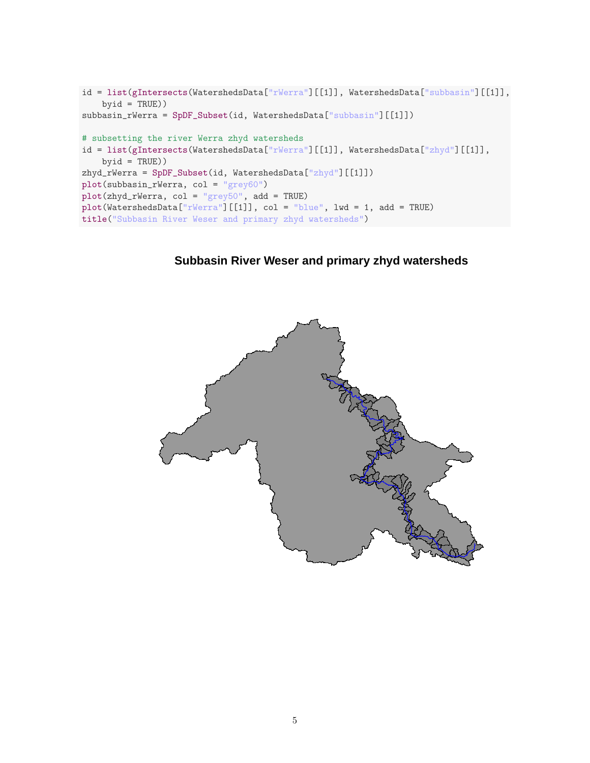```
id = list(gIntersects(WatershedsData["rWerra"][[1]], WatershedsData["subbasin"][[1]],
    byid = TRUE))
subbasin_rWerra = SpDF_Subset(id, WatershedsData["subbasin"][[1]])
# subsetting the river Werra zhyd watersheds
id = list(gIntersects(WatershedsData["rWerra"][[1]], WatershedsData["zhyd"][[1]],
    byid = TRUE))
zhyd_rWerra = SpDF_Subset(id, WatershedsData["zhyd"][[1]])
plot(subbasin_rWerra, col = "grey60")
plot(zhyd_rWerra, col = "grey50", add = TRUE)
plot(WatershedsData["rWerra"][[1]], col = "blue", lwd = 1, add = TRUE)
title("Subbasin River Weser and primary zhyd watersheds")
```
# **Subbasin River Weser and primary zhyd watersheds**

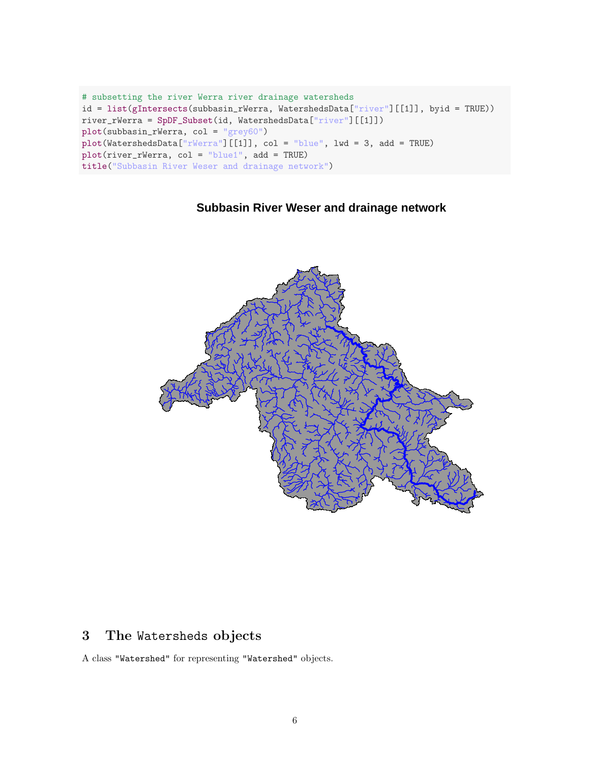```
# subsetting the river Werra river drainage watersheds
id = list(gIntersects(subbasin_rWerra, WatershedsData["river"][[1]], byid = TRUE))
river_rWerra = SpDF_Subset(id, WatershedsData["river"][[1]])
plot(subbasin_rWerra, col = "grey60")
plot(WatershedsData["rWerra"][[1]], col = "blue", lwd = 3, add = TRUE)
plot(river_rWerra, col = "blue1", add = TRUE)
title("Subbasin River Weser and drainage network")
```
# **Subbasin River Weser and drainage network**



# 3 The Watersheds objects

A class "Watershed" for representing "Watershed" objects.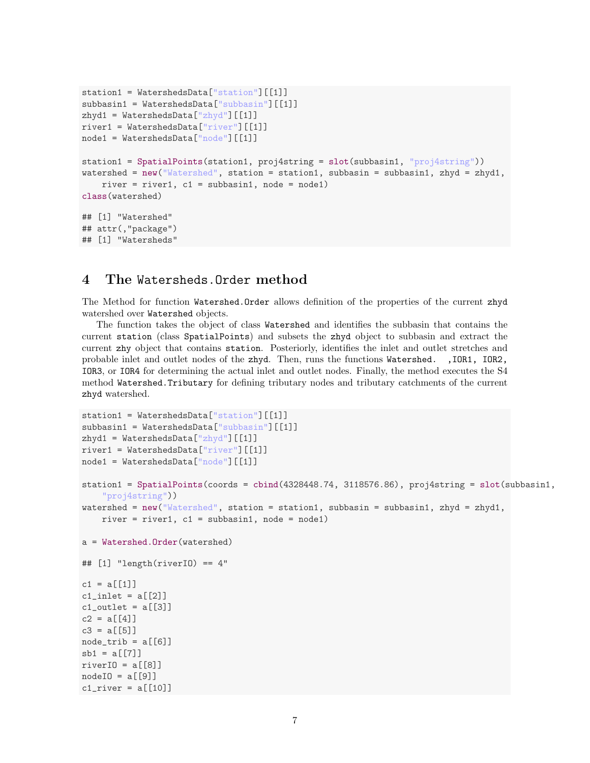```
station1 = WatershedsData["station"][[1]]
subbasin1 = WatershedsData["subbasin"][[1]]
zhyd1 = WatershedsData["zhyd"] [[1]]
river1 = WatershedsData["river"][[1]]
node1 = WatershedsData["node"][[1]]
station1 = SpatialPoints(station1, proj4string = slot(subbasin1, "proj4string"))
watershed = new("Watershed", station = station1, subbasin = subbasin1, zhyd = zhyd1,
    river = river1, c1 = subbasin1, node = node1)
class(watershed)
## [1] "Watershed"
## attr(,"package")
## [1] "Watersheds"
```
#### 4 The Watersheds.Order method

The Method for function Watershed.Order allows definition of the properties of the current zhyd watershed over Watershed objects.

The function takes the object of class Watershed and identifies the subbasin that contains the current station (class SpatialPoints) and subsets the zhyd object to subbasin and extract the current zhy object that contains station. Posteriorly, identifies the inlet and outlet stretches and probable inlet and outlet nodes of the zhyd. Then, runs the functions Watershed. ,IOR1, IOR2, IOR3, or IOR4 for determining the actual inlet and outlet nodes. Finally, the method executes the S4 method Watershed.Tributary for defining tributary nodes and tributary catchments of the current zhyd watershed.

```
station1 = WatershedsData["station"][[1]]
subbasin1 = WatershedsData["subbasin"][[1]]
zhyd1 = WatershedsData["zhyd"] [[1]]
river1 = WatershedsData["river"][[1]]
node1 = WatershedsData["node"][[1]]
station1 = SpatialPoints(coords = cbind(4328448.74, 3118576.86), proj4string = slot(subbasin1,
    "proj4string"))
watershed = new("Watershed", station = station1, subbasin = subbasin1, zhyd = zhyd1,
    river = river1, c1 = subbasin1, node = node1)
a = Watershed.Order(watershed)
\# [1] "length(riverIO) == 4"
c1 = a[[1]]c1_inlet = a[[2]]c1_outlet = a[[3]]c2 = a[[4]]c3 = a[[5]]node\_trib = a[[6]]sb1 = a[[7]]riverIO = a[[8]]nodeIO = a[[9]]cl\_river = a[[10]]
```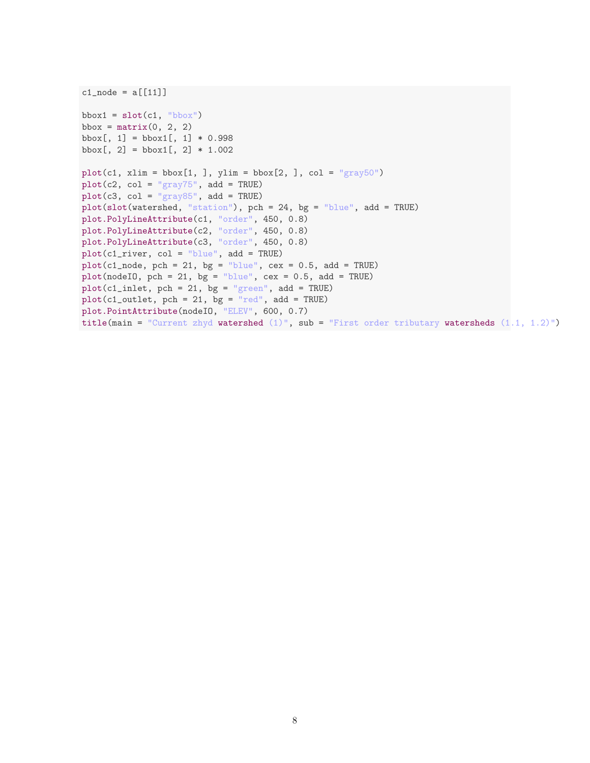```
c1_node = a[[11]]bbox1 = \text{slot}(c1, \text{ "bbox"})bbox = matrix(0, 2, 2)bbox[, 1] = \text{bbox1}[, 1] * 0.998bbox[, 2] = \text{bbox1}[, 2] * 1.002plot(c1, xlim = bbox[1,], ylim = bbox[2,], col = "gray50")plot(c2, col = "gray75", add = TRUE)plot(c3, col = "gray85", add = TRUE)
plot(slot(watershed, "station"), pch = 24, bg = "blue", add = TRUE)plot.PolyLineAttribute(c1, "order", 450, 0.8)
plot.PolyLineAttribute(c2, "order", 450, 0.8)
plot.PolyLineAttribute(c3, "order", 450, 0.8)
plot(c1_river, col = "blue", add = TRUE)
plot(c1_model, pch = 21, bg = "blue", cex = 0.5, add = TRUE)plot(nodeIO, pch = 21, bg = "blue", cex = 0.5, add = TRUE)plot(c1_inlet, pch = 21, bg = "green", add = TRUE)plot(c1_outlet, pch = 21, bg = "red", add = TRUE)plot.PointAttribute(nodeIO, "ELEV", 600, 0.7)
title(main = "Current zhyd watershed (1)", sub = "First order tributary watersheds (1.1, 1.2)")
```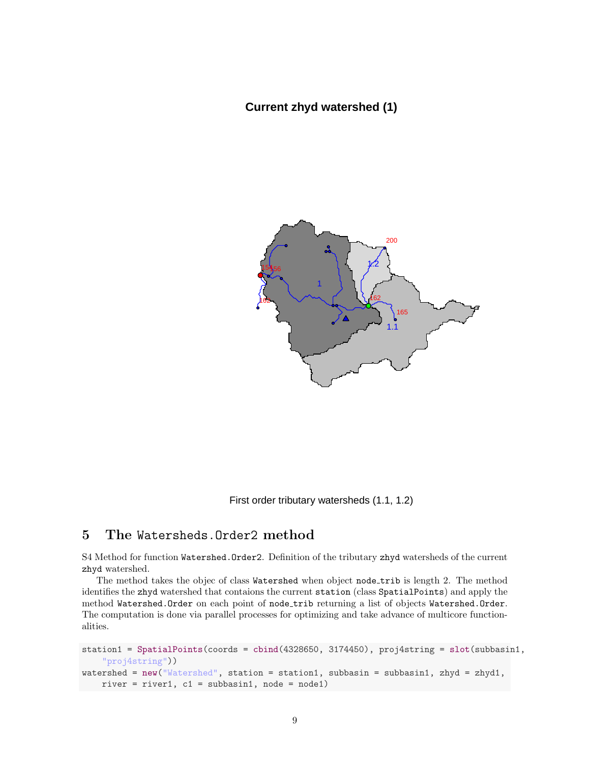#### **Current zhyd watershed (1)**



First order tributary watersheds (1.1, 1.2)

#### 5 The Watersheds.Order2 method

S4 Method for function Watershed.Order2. Definition of the tributary zhyd watersheds of the current zhyd watershed.

The method takes the objec of class Watershed when object node\_trib is length 2. The method identifies the zhyd watershed that contaions the current station (class SpatialPoints) and apply the method Watershed.Order on each point of node trib returning a list of objects Watershed.Order. The computation is done via parallel processes for optimizing and take advance of multicore functionalities.

```
station1 = SpatialPoints(coords = cbind(4328650, 3174450), proj4string = slot(subbasin1,
    "proj4string"))
watershed = new("Watershed", station = station1, subbasin = subbasin1, zhyd = zhyd1,
   river = river1, c1 = subbasin1, node = node1)
```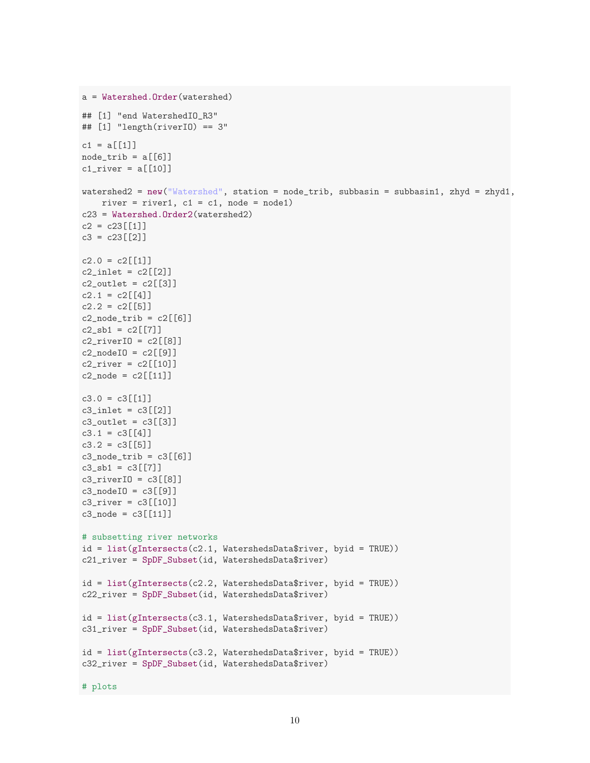```
a = Watershed.Order(watershed)
## [1] "end WatershedIO_R3"
## [1] "length(riverIO) == 3"
c1 = a[[1]]
node\_trib = a[[6]]cl\_river = a[[10]]watershed2 = new("Watershed", station = node_trib, subbasin = subbasin1, zhyd = zhyd1,
   river = river1, c1 = c1, node = node1)
c23 = Watershed.Order2(watershed2)
c2 = c23[[1]]c3 = c23[[2]]c2.0 = c2[[1]]c2_inlet = c2[[2]]
c2_outlet = c2[[3]]c2.1 = c2[[4]]c2.2 = c2[[5]]c2_node_trib = c2[[6]]c2<sub>sb1</sub> = c2[[7]]
c2_riverIO = c2[[8]]c2_model0 = c2[[9]]c2_river = c2[[10]]c2 node = c2[[11]]c3.0 = c3[[1]]c3_inlet = c3[[2]]
c3_outlet = c3[[3]]c3.1 = c3[[4]]c3.2 = c3[[5]]c3_model\_trib = c3[[6]]c3_s b1 = c3[[7]]c3_riverIO = c3[8]]
c3_model0 = c3[[9]]c3_river = c3[[10]]c3_node = c3[[11]]# subsetting river networks
id = list(gIntersects(c2.1, WatershedsData$river, byid = TRUE))
c21_river = SpDF_Subset(id, WatershedsData$river)
id = list(gIntersects(c2.2, WatershedsData$river, byid = TRUE))
c22_river = SpDF_Subset(id, WatershedsData$river)
id = list(gIntersects(c3.1, WatershedsData$river, byid = TRUE))
c31_river = SpDF_Subset(id, WatershedsData$river)
id = list(gIntersects(c3.2, WatershedsData$river, byid = TRUE))
c32_river = SpDF_Subset(id, WatershedsData$river)
```

```
# plots
```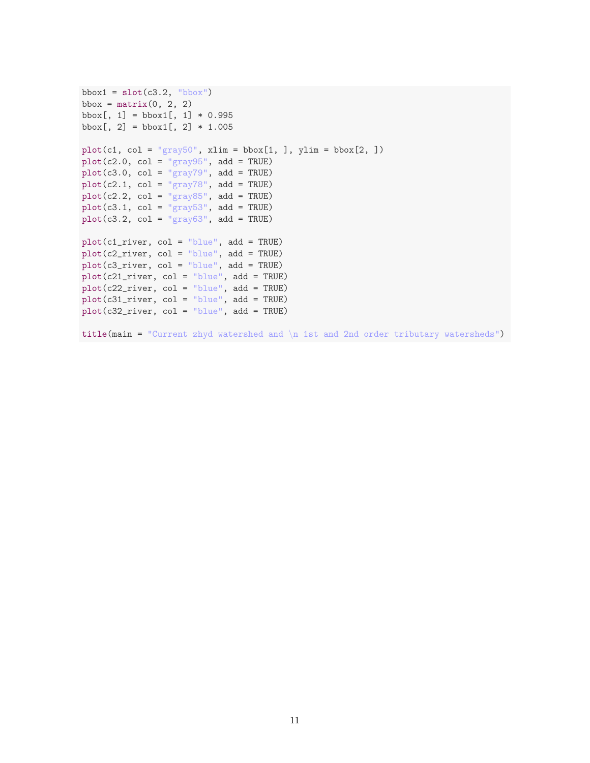```
bbox1 = \text{slot}(c3.2, "bbox")bbox = matrix(0, 2, 2)bbox[, 1] = \text{bbox1}[, 1] * 0.995bbox[, 2] = \text{bbox1}[, 2] * 1.005plot(c1, col = "gray50", xlim = bbox[1, ], ylim = bbox[2, ])plot(c2.0, col = "gray95", add = TRUE)plot(c3.0, col = "gray79", add = TRUE)plot(c2.1, col = "gray78", add = TRUE)plot(c2.2, col = "gray85", add = TRUE)plot(c3.1, col = "gray53", add = TRUE)
plot(c3.2, col = "gray63", add = TRUE)plot(c1_river, col = "blue", add = TRUE)
plot(c2_river, col = "blue", add = TRUE)
plot(c3_river, col = "blue", add = TRUE)
plot(c21\_river, col = "blue", add = TRUE)plot(c22_river, col = "blue", add = TRUE)
plot(c31_river, col = "blue", add = TRUE)
plot(c32_river, col = "blue", add = TRUE)
title(main = "Current zhyd watershed and \ln 1st and 2nd order tributary watersheds")
```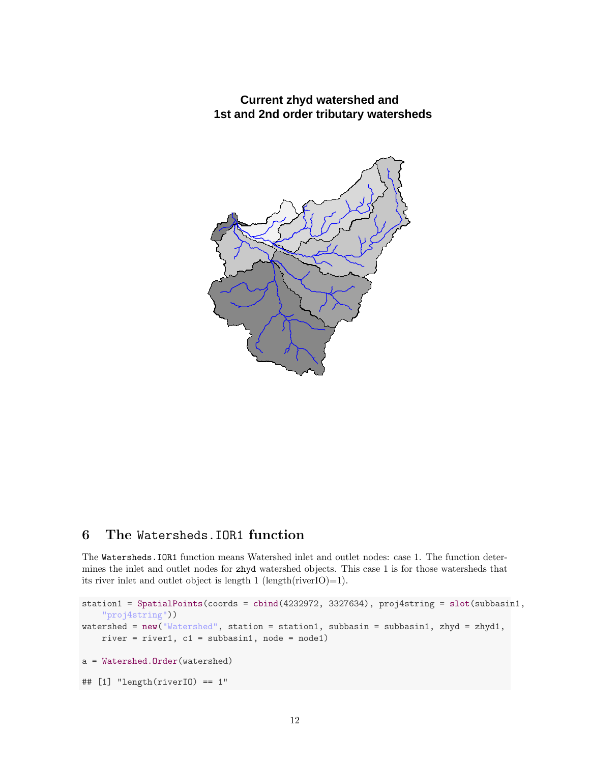**Current zhyd watershed and 1st and 2nd order tributary watersheds**



### 6 The Watersheds.IOR1 function

The Watersheds.IOR1 function means Watershed inlet and outlet nodes: case 1. The function determines the inlet and outlet nodes for zhyd watershed objects. This case 1 is for those watersheds that its river inlet and outlet object is length 1 (length(riverIO)=1).

```
station1 = SpatialPoints(coords = cbind(4232972, 3327634), proj4string = slot(subbasin1,
    "proj4string"))
watershed = new("Watershed", station = station1, subbasin = subbasin1, zhyd = zhyd1,
    river = river1, c1 = subbasin1, node = node1)
a = Watershed.Order(watershed)
## [1] "length(riverIO) == 1"
```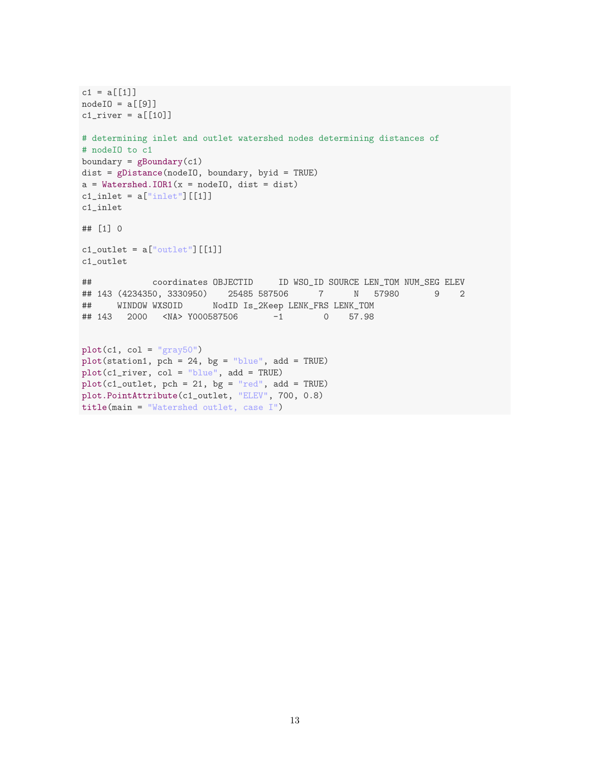```
c1 = a[[1]]nodeIO = a[[9]]cl\_river = a[[10]]# determining inlet and outlet watershed nodes determining distances of
# nodeIO to c1
boundary = gBoundary(c1)
dist = gDistance(nodeIO, boundary, byid = TRUE)
a = Watershed.IOR1(x = nodeI0, dist = dist)c1_inlet = a["inlet"] [[1]]
c1_inlet
## [1] 0
c1_<sub>outlet</sub> = a['output"] [[1]]
c1_outlet
## coordinates OBJECTID ID WSO_ID SOURCE LEN_TOM NUM_SEG ELEV
## 143 (4234350, 3330950) 25485 587506 7 N 57980 9 2
## WINDOW WXSOID NodID Is_2Keep LENK_FRS LENK_TOM
## 143 2000 <NA> Y000587506 -1 0 57.98
plot(c1, col = "gray50")plot(station1, pch = 24, bg = "blue", add = TRUE)
plot(c1_river, col = "blue", add = TRUE)
plot(c1_outlet, pch = 21, bg = "red", add = TRUE)plot.PointAttribute(c1_outlet, "ELEV", 700, 0.8)
title(main = "Watershed outlet, case I")
```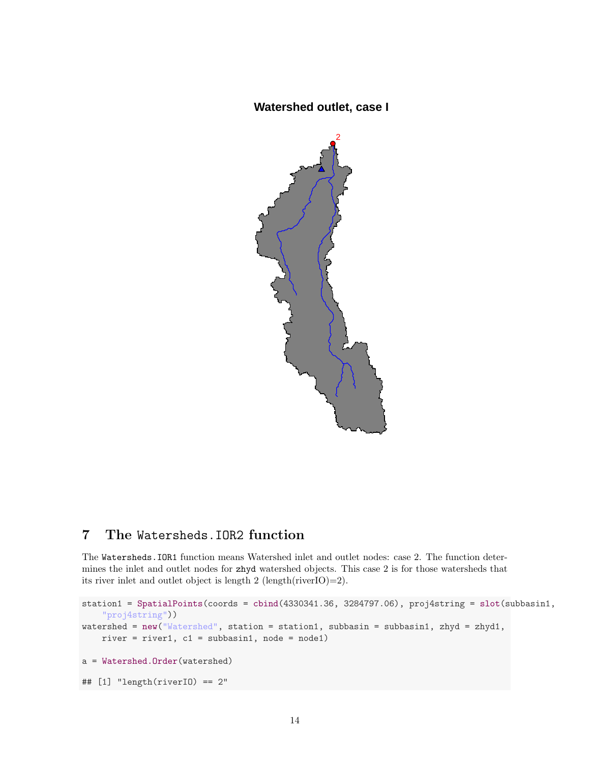# **Watershed outlet, case I**



### 7 The Watersheds.IOR2 function

The Watersheds.IOR1 function means Watershed inlet and outlet nodes: case 2. The function determines the inlet and outlet nodes for zhyd watershed objects. This case 2 is for those watersheds that its river inlet and outlet object is length 2 (length(riverIO)=2).

```
station1 = SpatialPoints(coords = cbind(4330341.36, 3284797.06), proj4string = slot(subbasin1,
    "proj4string"))
watershed = new("Watershed", station = station1, subbasin = subbasin1, zhyd = zhyd1,
    river = river1, c1 = subbasin1, node = node1)
a = Watershed.Order(watershed)
## [1] "length(riverIO) == 2"
```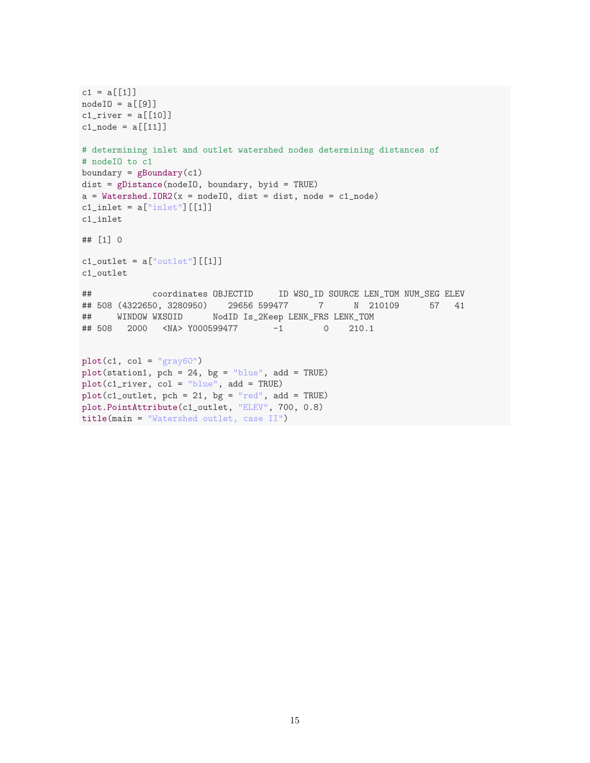```
c1 = a[[1]]nodeIO = a[[9]]cl\_river = a[[10]]c1_node = a[[11]]# determining inlet and outlet watershed nodes determining distances of
# nodeIO to c1
boundary = gBoundary(c1)
dist = gDistance(nodeIO, boundary, byid = TRUE)
a = Watershed.IDR2(x = nodeIO, dist = dist, node = c1_model)c1_inlet = a["inlet"] [[1]]
c1_inlet
## [1] 0
c1<sub>-</sub>outlet = a["outlet"][[1]]
c1_outlet
## coordinates OBJECTID ID WSO_ID SOURCE LEN_TOM NUM_SEG ELEV
## 508 (4322650, 3280950) 29656 599477 7 N 210109 57 41
## WINDOW WXSOID NodID Is_2Keep LENK_FRS LENK_TOM
## 508 2000 <NA> Y000599477 -1 0 210.1
plot(c1, col = "gray60")plot(station1, pch = 24, bg = "blue", add = TRUE)
plot(c1_river, col = "blue", add = TRUE)
plot(c1_outlet, pch = 21, bg = "red", add = TRUE)plot.PointAttribute(c1_outlet, "ELEV", 700, 0.8)
```

```
title(main = "Watershed outlet, case II")
```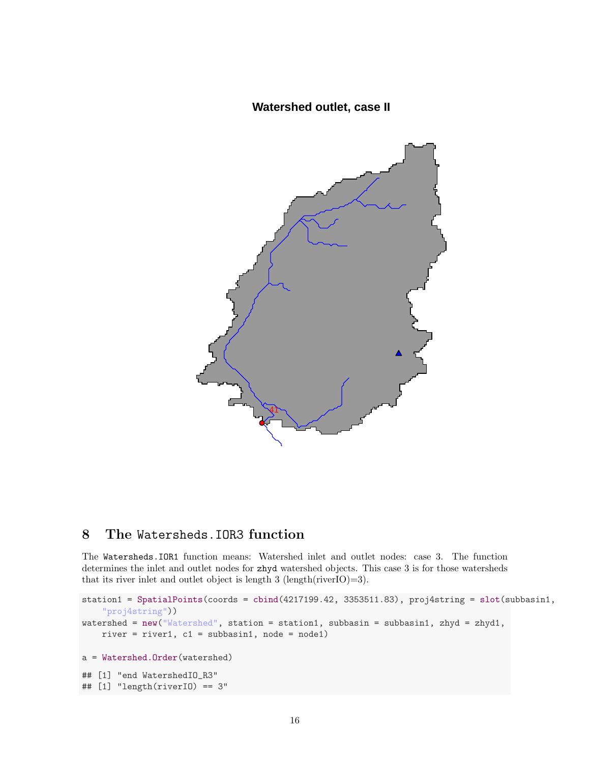# **Watershed outlet, case II**



# 8 The Watersheds.IOR3 function

The Watersheds.IOR1 function means: Watershed inlet and outlet nodes: case 3. The function determines the inlet and outlet nodes for zhyd watershed objects. This case 3 is for those watersheds that its river inlet and outlet object is length 3 (length(riverIO)=3).

```
station1 = SpatialPoints(coords = cbind(4217199.42, 3353511.83), proj4string = slot(subbasin1,
    "proj4string"))
watershed = new("Watershed", station = station1, subbasin = subbasin1, zhyd = zhyd1,
    river = river1, c1 = subbasin1, node = node1)
a = Watershed.Order(watershed)
## [1] "end WatershedIO_R3"
## [1] "length(riverIO) == 3"
```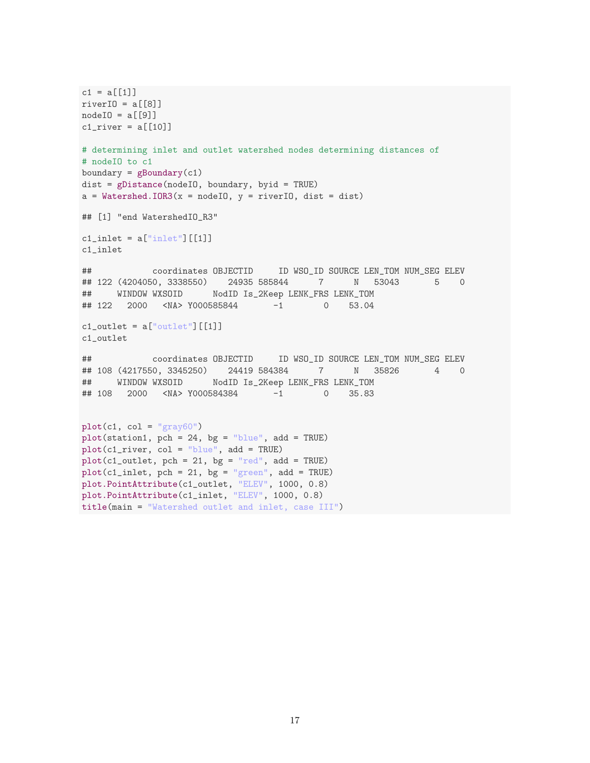```
c1 = a[[1]]riverIO = a[[8]]nodeIO = a[[9]]cl\_river = a[[10]]# determining inlet and outlet watershed nodes determining distances of
# nodeIO to c1
boundary = gBoundary(c1)
dist = gDistance(nodeIO, boundary, byid = TRUE)
a = Watershed.IOR3(x = nodeIO, y = riverIO, dist = dist)## [1] "end WatershedIO_R3"
c1_inlet = a["inlet"] [[1]]
c1_inlet
## coordinates OBJECTID ID WSO_ID SOURCE LEN_TOM NUM_SEG ELEV
## 122 (4204050, 3338550) 24935 585844 7 N 53043 5 0
## WINDOW WXSOID NodID Is_2Keep LENK_FRS LENK_TOM
## 122 2000 <NA> Y000585844 -1 0 53.04
c1_<sub>c</sub>utlet = a["outlet"][[1]]
c1_outlet
## coordinates OBJECTID ID WSO_ID SOURCE LEN_TOM NUM_SEG ELEV
## 108 (4217550, 3345250) 24419 584384 7 N 35826 4 0
## WINDOW WXSOID NodID Is_2Keep LENK_FRS LENK_TOM
## 108 2000 <NA> Y000584384 -1 0 35.83
plot(c1, col = "gray60")plot(station1, pch = 24, bg = "blue", add = TRUE)
plot(c1_river, col = "blue", add = TRUE)
plot(c1_outlet, pch = 21, bg = "red", add = TRUE)plot(c1_inlet, pch = 21, bg = "green", add = TRUE)plot.PointAttribute(c1_outlet, "ELEV", 1000, 0.8)
plot.PointAttribute(c1_inlet, "ELEV", 1000, 0.8)
```
title(main = "Watershed outlet and inlet, case III")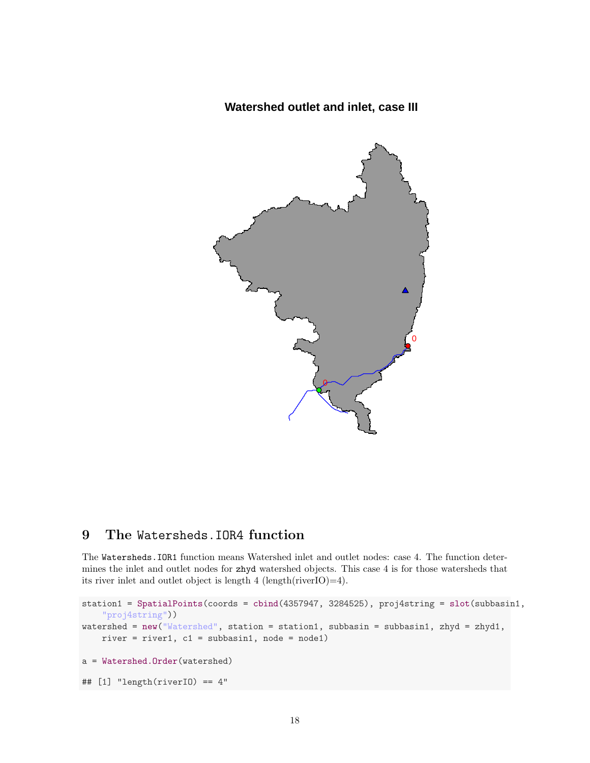# **Watershed outlet and inlet, case III**



# 9 The Watersheds.IOR4 function

The Watersheds.IOR1 function means Watershed inlet and outlet nodes: case 4. The function determines the inlet and outlet nodes for zhyd watershed objects. This case 4 is for those watersheds that its river inlet and outlet object is length 4 (length(riverIO)=4).

```
station1 = SpatialPoints(coords = cbind(4357947, 3284525), proj4string = slot(subbasin1,
    "proj4string"))
watershed = new("Watershed", station = station1, subbasin = subbasin1, zhyd = zhyd1,
    river = river1, c1 = subbasin1, node = node1)
a = Watershed.Order(watershed)
## [1] "length(riverIO) == 4"
```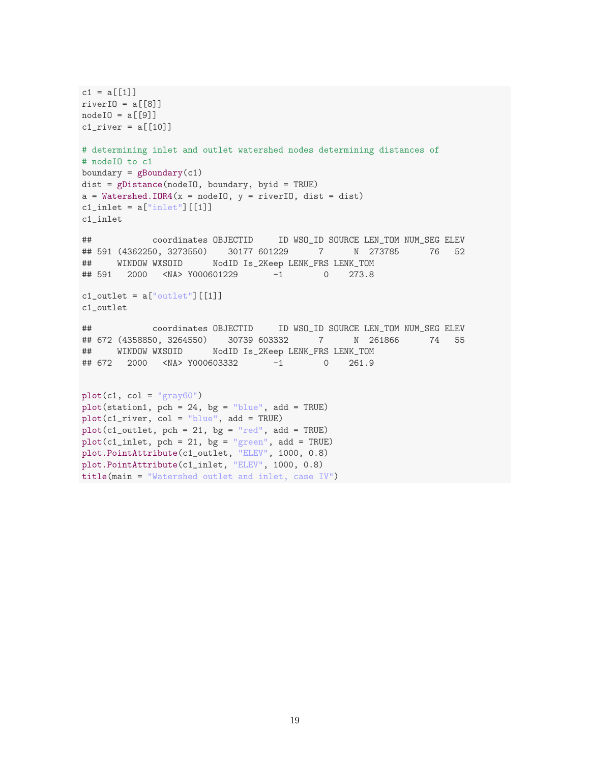```
c1 = a[[1]]riverIO = a[[8]]nodeIO = a[[9]]cl\_river = a[[10]]# determining inlet and outlet watershed nodes determining distances of
# nodeIO to c1
boundary = gBoundary(c1)
dist = gDistance(nodeIO, boundary, byid = TRUE)
a = Watershed.IOR4(x = nodeIO, y = riverIO, dist = dist)c1_inlet = a["inlet"] [[1]]
c1_inlet
## coordinates OBJECTID ID WSO_ID SOURCE LEN_TOM NUM_SEG ELEV
## 591 (4362250, 3273550) 30177 601229 7 N 273785 76 52
## WINDOW WXSOID NodID Is_2Keep LENK_FRS LENK_TOM
## 591 2000 <NA> Y000601229 -1 0 273.8
c1_<sub>outlet</sub> = a['output"] [[1]]c1_outlet
## coordinates OBJECTID ID WSO_ID SOURCE LEN_TOM NUM_SEG ELEV
## 672 (4358850, 3264550) 30739 603332 7 N 261866 74 55
## WINDOW WXSOID NodID Is_2Keep LENK_FRS LENK_TOM
## 672 2000 <NA> Y000603332 -1 0 261.9
plot(c1, col = "gray60")plot(station1, pch = 24, bg = "blue", add = TRUE)
plot(c1_river, col = "blue", add = TRUE)
plot(c1_outlet, pch = 21, bg = "red", add = TRUE)plot(c1_inlet, pch = 21, bg = "green", add = TRUE)plot.PointAttribute(c1_outlet, "ELEV", 1000, 0.8)
plot.PointAttribute(c1_inlet, "ELEV", 1000, 0.8)
title(main = "Watershed outlet and inlet, case IV")
```